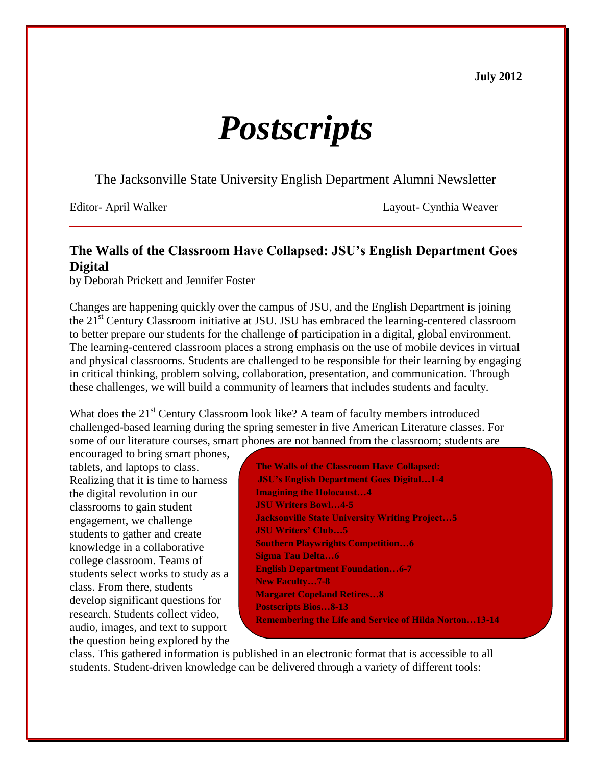**July 2012**

# *Postscripts*

The Jacksonville State University English Department Alumni Newsletter

Editor- April Walker Layout- Cynthia Weaver

# **The Walls of the Classroom Have Collapsed: JSU's English Department Goes Digital**

by Deborah Prickett and Jennifer Foster

Changes are happening quickly over the campus of JSU, and the English Department is joining the 21<sup>st</sup> Century Classroom initiative at JSU. JSU has embraced the learning-centered classroom to better prepare our students for the challenge of participation in a digital, global environment. The learning-centered classroom places a strong emphasis on the use of mobile devices in virtual and physical classrooms. Students are challenged to be responsible for their learning by engaging in critical thinking, problem solving, collaboration, presentation, and communication. Through these challenges, we will build a community of learners that includes students and faculty.

What does the 21<sup>st</sup> Century Classroom look like? A team of faculty members introduced challenged-based learning during the spring semester in five American Literature classes. For some of our literature courses, smart phones are not banned from the classroom; students are

encouraged to bring smart phones, tablets, and laptops to class. Realizing that it is time to harness the digital revolution in our classrooms to gain student engagement, we challenge students to gather and create knowledge in a collaborative college classroom. Teams of students select works to study as a class. From there, students develop significant questions for research. Students collect video, audio, images, and text to support the question being explored by the

**The Walls of the Classroom Have Collapsed: JSU's English Department Goes Digital…1-4 Imagining the Holocaust…4 JSU Writers Bowl…4-5 Jacksonville State University Writing Project…5 JSU Writers' Club…5 Southern Playwrights Competition…6 Sigma Tau Delta…6 English Department Foundation…6-7 New Faculty…7-8 Margaret Copeland Retires…8 Postscripts Bios…8-13 Remembering the Life and Service of Hilda Norton…13-14**

class. This gathered information is published in an electronic format that is accessible to all students. Student-driven knowledge can be delivered through a variety of different tools: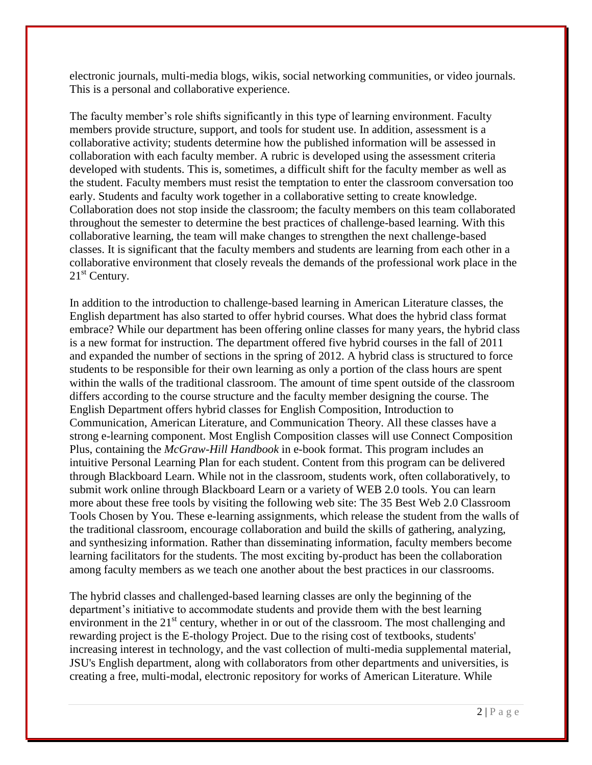electronic journals, multi-media blogs, wikis, social networking communities, or video journals. This is a personal and collaborative experience.

The faculty member's role shifts significantly in this type of learning environment. Faculty members provide structure, support, and tools for student use. In addition, assessment is a collaborative activity; students determine how the published information will be assessed in collaboration with each faculty member. A rubric is developed using the assessment criteria developed with students. This is, sometimes, a difficult shift for the faculty member as well as the student. Faculty members must resist the temptation to enter the classroom conversation too early. Students and faculty work together in a collaborative setting to create knowledge. Collaboration does not stop inside the classroom; the faculty members on this team collaborated throughout the semester to determine the best practices of challenge-based learning. With this collaborative learning, the team will make changes to strengthen the next challenge-based classes. It is significant that the faculty members and students are learning from each other in a collaborative environment that closely reveals the demands of the professional work place in the  $21<sup>st</sup>$  Century.

In addition to the introduction to challenge-based learning in American Literature classes, the English department has also started to offer hybrid courses. What does the hybrid class format embrace? While our department has been offering online classes for many years, the hybrid class is a new format for instruction. The department offered five hybrid courses in the fall of 2011 and expanded the number of sections in the spring of 2012. A hybrid class is structured to force students to be responsible for their own learning as only a portion of the class hours are spent within the walls of the traditional classroom. The amount of time spent outside of the classroom differs according to the course structure and the faculty member designing the course. The English Department offers hybrid classes for English Composition, Introduction to Communication, American Literature, and Communication Theory. All these classes have a strong e-learning component. Most English Composition classes will use Connect Composition Plus, containing the *McGraw-Hill Handbook* in e-book format. This program includes an intuitive Personal Learning Plan for each student. Content from this program can be delivered through Blackboard Learn. While not in the classroom, students work, often collaboratively, to submit work online through Blackboard Learn or a variety of WEB 2.0 tools. You can learn more about these free tools by visiting the following web site: The 35 Best Web 2.0 Classroom Tools Chosen by You. These e-learning assignments, which release the student from the walls of the traditional classroom, encourage collaboration and build the skills of gathering, analyzing, and synthesizing information. Rather than disseminating information, faculty members become learning facilitators for the students. The most exciting by-product has been the collaboration among faculty members as we teach one another about the best practices in our classrooms.

The hybrid classes and challenged-based learning classes are only the beginning of the department's initiative to accommodate students and provide them with the best learning environment in the  $21<sup>st</sup>$  century, whether in or out of the classroom. The most challenging and rewarding project is the E-thology Project. Due to the rising cost of textbooks, students' increasing interest in technology, and the vast collection of multi-media supplemental material, JSU's English department, along with collaborators from other departments and universities, is creating a free, multi-modal, electronic repository for works of American Literature. While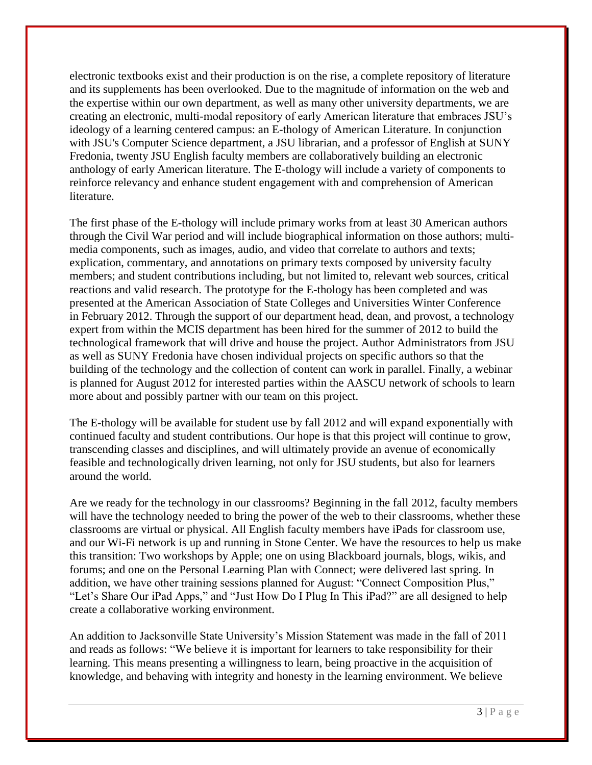electronic textbooks exist and their production is on the rise, a complete repository of literature and its supplements has been overlooked. Due to the magnitude of information on the web and the expertise within our own department, as well as many other university departments, we are creating an electronic, multi-modal repository of early American literature that embraces JSU's ideology of a learning centered campus: an E-thology of American Literature. In conjunction with JSU's Computer Science department, a JSU librarian, and a professor of English at SUNY Fredonia, twenty JSU English faculty members are collaboratively building an electronic anthology of early American literature. The E-thology will include a variety of components to reinforce relevancy and enhance student engagement with and comprehension of American literature.

The first phase of the E-thology will include primary works from at least 30 American authors through the Civil War period and will include biographical information on those authors; multimedia components, such as images, audio, and video that correlate to authors and texts; explication, commentary, and annotations on primary texts composed by university faculty members; and student contributions including, but not limited to, relevant web sources, critical reactions and valid research. The prototype for the E-thology has been completed and was presented at the American Association of State Colleges and Universities Winter Conference in February 2012. Through the support of our department head, dean, and provost, a technology expert from within the MCIS department has been hired for the summer of 2012 to build the technological framework that will drive and house the project. Author Administrators from JSU as well as SUNY Fredonia have chosen individual projects on specific authors so that the building of the technology and the collection of content can work in parallel. Finally, a webinar is planned for August 2012 for interested parties within the AASCU network of schools to learn more about and possibly partner with our team on this project.

The E-thology will be available for student use by fall 2012 and will expand exponentially with continued faculty and student contributions. Our hope is that this project will continue to grow, transcending classes and disciplines, and will ultimately provide an avenue of economically feasible and technologically driven learning, not only for JSU students, but also for learners around the world.

Are we ready for the technology in our classrooms? Beginning in the fall 2012, faculty members will have the technology needed to bring the power of the web to their classrooms, whether these classrooms are virtual or physical. All English faculty members have iPads for classroom use, and our Wi-Fi network is up and running in Stone Center. We have the resources to help us make this transition: Two workshops by Apple; one on using Blackboard journals, blogs, wikis, and forums; and one on the Personal Learning Plan with Connect; were delivered last spring. In addition, we have other training sessions planned for August: "Connect Composition Plus," "Let's Share Our iPad Apps," and "Just How Do I Plug In This iPad?" are all designed to help create a collaborative working environment.

An addition to Jacksonville State University's Mission Statement was made in the fall of 2011 and reads as follows: "We believe it is important for learners to take responsibility for their learning. This means presenting a willingness to learn, being proactive in the acquisition of knowledge, and behaving with integrity and honesty in the learning environment. We believe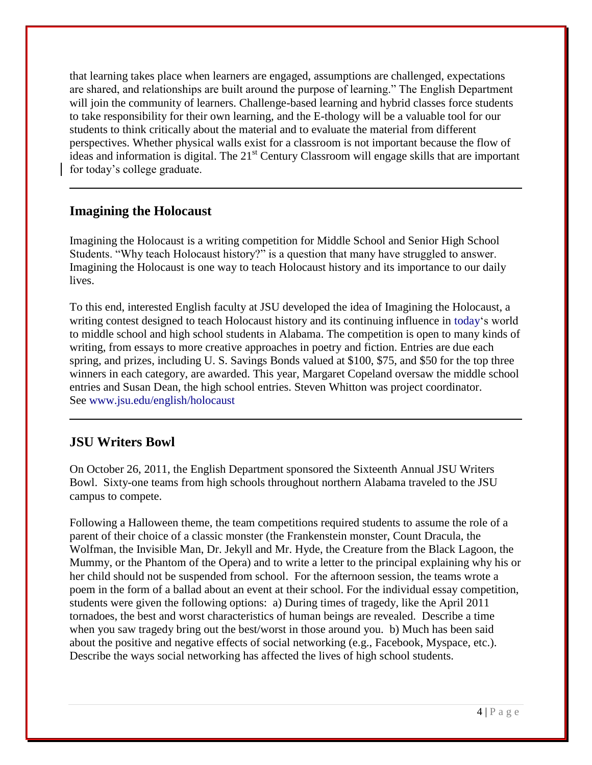that learning takes place when learners are engaged, assumptions are challenged, expectations are shared, and relationships are built around the purpose of learning." The English Department will join the community of learners. Challenge-based learning and hybrid classes force students to take responsibility for their own learning, and the E-thology will be a valuable tool for our students to think critically about the material and to evaluate the material from different perspectives. Whether physical walls exist for a classroom is not important because the flow of ideas and information is digital. The  $21<sup>st</sup>$  Century Classroom will engage skills that are important for today's college graduate.

## **Imagining the Holocaust**

Imagining the Holocaust is a writing competition for Middle School and Senior High School Students. "Why teach Holocaust history?" is a question that many have struggled to answer. Imagining the Holocaust is one way to teach Holocaust history and its importance to our daily lives.

To this end, interested English faculty at JSU developed the idea of Imagining the Holocaust, a writing contest designed to teach Holocaust history and its continuing influence in today's world to middle school and high school students in Alabama. The competition is open to many kinds of writing, from essays to more creative approaches in poetry and fiction. Entries are due each spring, and prizes, including U. S. Savings Bonds valued at \$100, \$75, and \$50 for the top three winners in each category, are awarded. This year, Margaret Copeland oversaw the middle school entries and Susan Dean, the high school entries. Steven Whitton was project coordinator. See [www.jsu.edu/english/holocaust](http://www.jsu.edu/english/holocaust)

# **JSU Writers Bowl**

On October 26, 2011, the English Department sponsored the Sixteenth Annual JSU Writers Bowl. Sixty-one teams from high schools throughout northern Alabama traveled to the JSU campus to compete.

Following a Halloween theme, the team competitions required students to assume the role of a parent of their choice of a classic monster (the Frankenstein monster, Count Dracula, the Wolfman, the Invisible Man, Dr. Jekyll and Mr. Hyde, the Creature from the Black Lagoon, the Mummy, or the Phantom of the Opera) and to write a letter to the principal explaining why his or her child should not be suspended from school. For the afternoon session, the teams wrote a poem in the form of a ballad about an event at their school. For the individual essay competition, students were given the following options: a) During times of tragedy, like the April 2011 tornadoes, the best and worst characteristics of human beings are revealed. Describe a time when you saw tragedy bring out the best/worst in those around you. b) Much has been said about the positive and negative effects of social networking (e.g., Facebook, Myspace, etc.). Describe the ways social networking has affected the lives of high school students.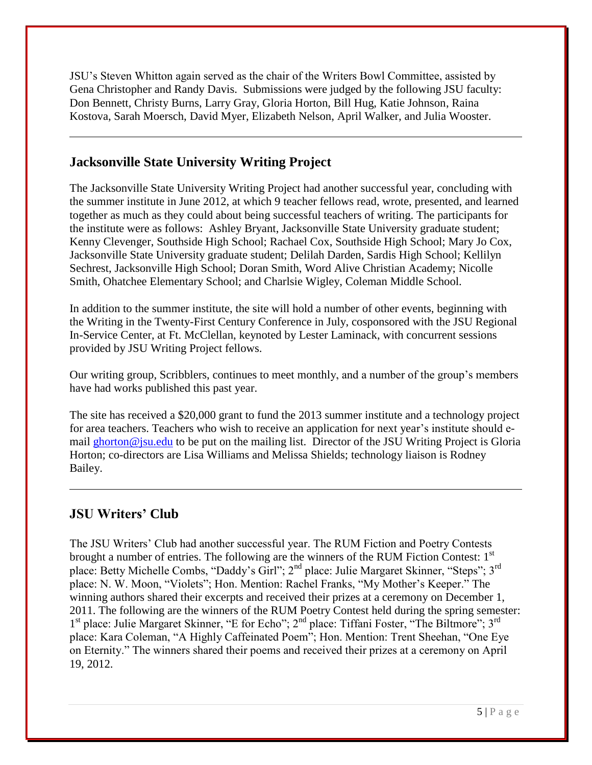JSU's Steven Whitton again served as the chair of the Writers Bowl Committee, assisted by Gena Christopher and Randy Davis. Submissions were judged by the following JSU faculty: Don Bennett, Christy Burns, Larry Gray, Gloria Horton, Bill Hug, Katie Johnson, Raina Kostova, Sarah Moersch, David Myer, Elizabeth Nelson, April Walker, and Julia Wooster.

## **Jacksonville State University Writing Project**

The Jacksonville State University Writing Project had another successful year, concluding with the summer institute in June 2012, at which 9 teacher fellows read, wrote, presented, and learned together as much as they could about being successful teachers of writing. The participants for the institute were as follows: Ashley Bryant, Jacksonville State University graduate student; Kenny Clevenger, Southside High School; Rachael Cox, Southside High School; Mary Jo Cox, Jacksonville State University graduate student; Delilah Darden, Sardis High School; Kellilyn Sechrest, Jacksonville High School; Doran Smith, Word Alive Christian Academy; Nicolle Smith, Ohatchee Elementary School; and Charlsie Wigley, Coleman Middle School.

In addition to the summer institute, the site will hold a number of other events, beginning with the Writing in the Twenty-First Century Conference in July, cosponsored with the JSU Regional In-Service Center, at Ft. McClellan, keynoted by Lester Laminack, with concurrent sessions provided by JSU Writing Project fellows.

Our writing group, Scribblers, continues to meet monthly, and a number of the group's members have had works published this past year.

The site has received a \$20,000 grant to fund the 2013 summer institute and a technology project for area teachers. Teachers who wish to receive an application for next year's institute should email [ghorton@jsu.edu](mailto:ghorton@jsu.edu) to be put on the mailing list. Director of the JSU Writing Project is Gloria Horton; co-directors are Lisa Williams and Melissa Shields; technology liaison is Rodney Bailey.

# **JSU Writers' Club**

The JSU Writers' Club had another successful year. The RUM Fiction and Poetry Contests brought a number of entries. The following are the winners of the RUM Fiction Contest:  $1<sup>st</sup>$ place: Betty Michelle Combs, "Daddy's Girl"; 2nd place: Julie Margaret Skinner, "Steps"; 3rd place: N. W. Moon, "Violets"; Hon. Mention: Rachel Franks, "My Mother's Keeper." The winning authors shared their excerpts and received their prizes at a ceremony on December 1, 2011. The following are the winners of the RUM Poetry Contest held during the spring semester: 1<sup>st</sup> place: Julie Margaret Skinner, "E for Echo"; 2<sup>nd</sup> place: Tiffani Foster, "The Biltmore"; 3<sup>rd</sup> place: Kara Coleman, "A Highly Caffeinated Poem"; Hon. Mention: Trent Sheehan, "One Eye on Eternity." The winners shared their poems and received their prizes at a ceremony on April 19, 2012.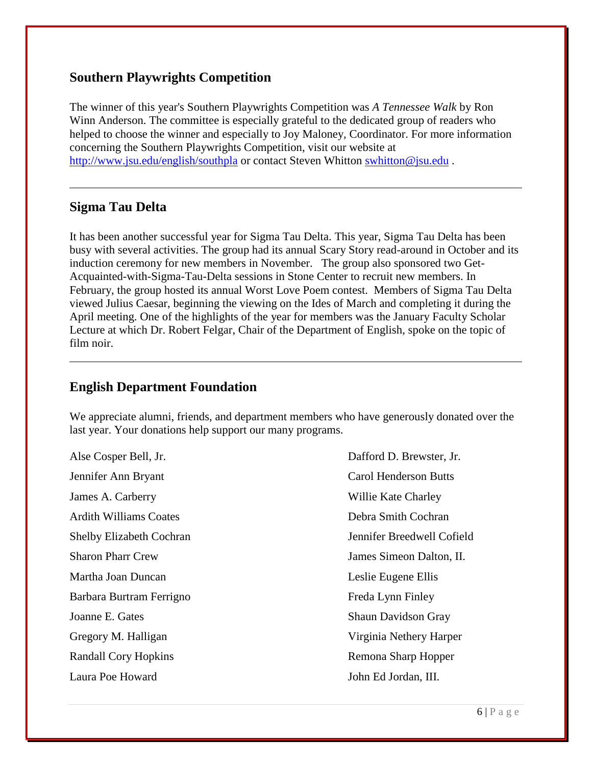#### **Southern Playwrights Competition**

The winner of this year's Southern Playwrights Competition was *A Tennessee Walk* by Ron Winn Anderson. The committee is especially grateful to the dedicated group of readers who helped to choose the winner and especially to Joy Maloney, Coordinator. For more information concerning the Southern Playwrights Competition, visit our website at <http://www.jsu.edu/english/southpla> or contact Steven Whitton [swhitton@jsu.edu](mailto:swhitton@jsu.edu).

#### **Sigma Tau Delta**

It has been another successful year for Sigma Tau Delta. This year, Sigma Tau Delta has been busy with several activities. The group had its annual Scary Story read-around in October and its induction ceremony for new members in November. The group also sponsored two Get-Acquainted-with-Sigma-Tau-Delta sessions in Stone Center to recruit new members. In February, the group hosted its annual Worst Love Poem contest. Members of Sigma Tau Delta viewed Julius Caesar, beginning the viewing on the Ides of March and completing it during the April meeting. One of the highlights of the year for members was the January Faculty Scholar Lecture at which Dr. Robert Felgar, Chair of the Department of English, spoke on the topic of film noir.

# **English Department Foundation**

We appreciate alumni, friends, and department members who have generously donated over the last year. Your donations help support our many programs.

Alse Cosper Bell, Jr.  $Dafford D$ . Brewster, Jr. Jennifer Ann Bryant Carol Henderson Butts James A. Carberry Willie Kate Charley Ardith Williams Coates **Debra Smith Cochran** Martha Joan Duncan **Leslie Eugene Ellis** Leslie Eugene Ellis Barbara Burtram Ferrigno Freda Lynn Finley Joanne E. Gates Shaun Davidson Gray Gregory M. Halligan Virginia Nethery Harper Randall Cory Hopkins **Remona Sharp Hopper** Remona Sharp Hopper

Shelby Elizabeth Cochran Jennifer Breedwell Cofield Sharon Pharr Crew James Simeon Dalton, II. Laura Poe Howard John Ed Jordan, III.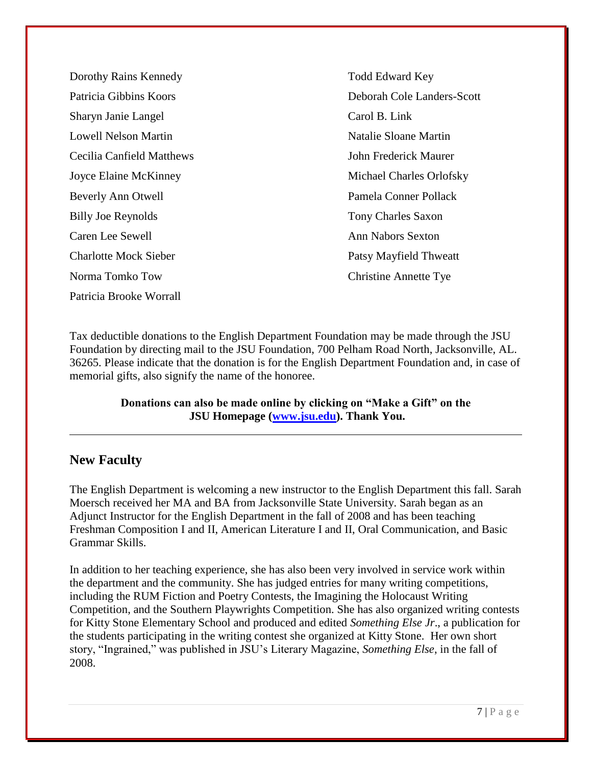Dorothy Rains Kennedy Todd Edward Key Patricia Gibbins Koors **Deborah Cole Landers-Scott** Sharyn Janie Langel Carol B. Link Lowell Nelson Martin Natalie Sloane Martin Natalie Sloane Martin Cecilia Canfield Matthews John Frederick Maurer Joyce Elaine McKinney Michael Charles Orlofsky Beverly Ann Otwell Pamela Conner Pollack Billy Joe Reynolds Tony Charles Saxon **Caren Lee Sewell Ann Nabors Sexton** Charlotte Mock Sieber Patsy Mayfield Thweatt Norma Tomko Tow Christine Annette Tye Patricia Brooke Worrall

Tax deductible donations to the English Department Foundation may be made through the JSU Foundation by directing mail to the JSU Foundation, 700 Pelham Road North, Jacksonville, AL. 36265. Please indicate that the donation is for the English Department Foundation and, in case of memorial gifts, also signify the name of the honoree.

> **Donations can also be made online by clicking on "Make a Gift" on the JSU Homepage [\(www.jsu.edu\)](http://www.jsu.edu/). Thank You.**

#### **New Faculty**

The English Department is welcoming a new instructor to the English Department this fall. Sarah Moersch received her MA and BA from Jacksonville State University. Sarah began as an Adjunct Instructor for the English Department in the fall of 2008 and has been teaching Freshman Composition I and II, American Literature I and II, Oral Communication, and Basic Grammar Skills.

In addition to her teaching experience, she has also been very involved in service work within the department and the community. She has judged entries for many writing competitions, including the RUM Fiction and Poetry Contests, the Imagining the Holocaust Writing Competition, and the Southern Playwrights Competition. She has also organized writing contests for Kitty Stone Elementary School and produced and edited *Something Else Jr*., a publication for the students participating in the writing contest she organized at Kitty Stone. Her own short story, "Ingrained," was published in JSU's Literary Magazine, *Something Else*, in the fall of 2008.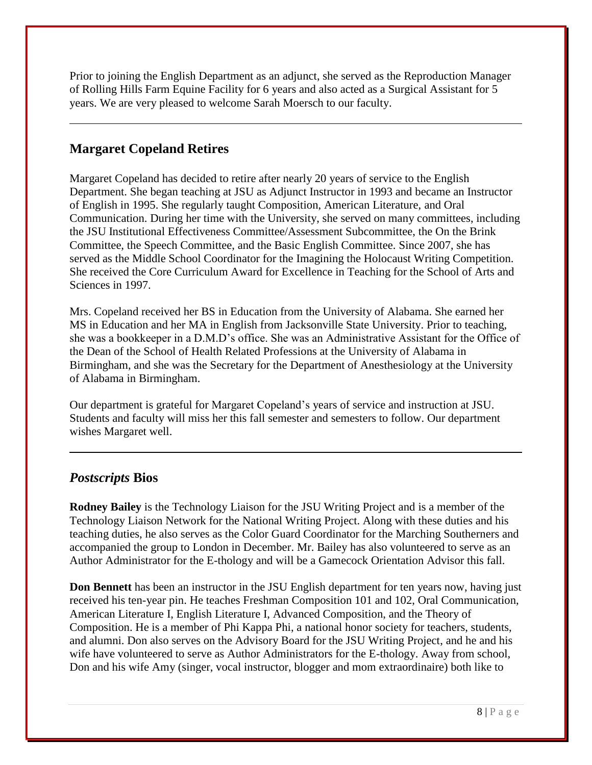Prior to joining the English Department as an adjunct, she served as the Reproduction Manager of Rolling Hills Farm Equine Facility for 6 years and also acted as a Surgical Assistant for 5 years. We are very pleased to welcome Sarah Moersch to our faculty.

# **Margaret Copeland Retires**

Margaret Copeland has decided to retire after nearly 20 years of service to the English Department. She began teaching at JSU as Adjunct Instructor in 1993 and became an Instructor of English in 1995. She regularly taught Composition, American Literature, and Oral Communication. During her time with the University, she served on many committees, including the JSU Institutional Effectiveness Committee/Assessment Subcommittee, the On the Brink Committee, the Speech Committee, and the Basic English Committee. Since 2007, she has served as the Middle School Coordinator for the Imagining the Holocaust Writing Competition. She received the Core Curriculum Award for Excellence in Teaching for the School of Arts and Sciences in 1997.

Mrs. Copeland received her BS in Education from the University of Alabama. She earned her MS in Education and her MA in English from Jacksonville State University. Prior to teaching, she was a bookkeeper in a D.M.D's office. She was an Administrative Assistant for the Office of the Dean of the School of Health Related Professions at the University of Alabama in Birmingham, and she was the Secretary for the Department of Anesthesiology at the University of Alabama in Birmingham.

Our department is grateful for Margaret Copeland's years of service and instruction at JSU. Students and faculty will miss her this fall semester and semesters to follow. Our department wishes Margaret well.

#### *Postscripts* **Bios**

**Rodney Bailey** is the Technology Liaison for the JSU Writing Project and is a member of the Technology Liaison Network for the National Writing Project. Along with these duties and his teaching duties, he also serves as the Color Guard Coordinator for the Marching Southerners and accompanied the group to London in December. Mr. Bailey has also volunteered to serve as an Author Administrator for the E-thology and will be a Gamecock Orientation Advisor this fall.

**Don Bennett** has been an instructor in the JSU English department for ten years now, having just received his ten-year pin. He teaches Freshman Composition 101 and 102, Oral Communication, American Literature I, English Literature I, Advanced Composition, and the Theory of Composition. He is a member of Phi Kappa Phi, a national honor society for teachers, students, and alumni. Don also serves on the Advisory Board for the JSU Writing Project, and he and his wife have volunteered to serve as Author Administrators for the E-thology. Away from school, Don and his wife Amy (singer, vocal instructor, blogger and mom extraordinaire) both like to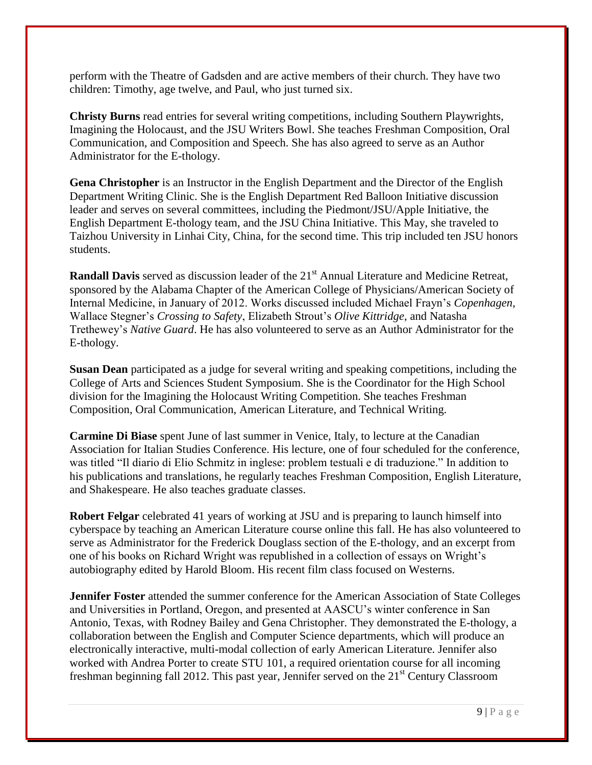perform with the Theatre of Gadsden and are active members of their church. They have two children: Timothy, age twelve, and Paul, who just turned six.

**Christy Burns** read entries for several writing competitions, including Southern Playwrights, Imagining the Holocaust, and the JSU Writers Bowl. She teaches Freshman Composition, Oral Communication, and Composition and Speech. She has also agreed to serve as an Author Administrator for the E-thology.

**Gena Christopher** is an Instructor in the English Department and the Director of the English Department Writing Clinic. She is the English Department Red Balloon Initiative discussion leader and serves on several committees, including the Piedmont/JSU/Apple Initiative, the English Department E-thology team, and the JSU China Initiative. This May, she traveled to Taizhou University in Linhai City, China, for the second time. This trip included ten JSU honors students.

**Randall Davis** served as discussion leader of the 21<sup>st</sup> Annual Literature and Medicine Retreat, sponsored by the Alabama Chapter of the American College of Physicians/American Society of Internal Medicine, in January of 2012. Works discussed included Michael Frayn's *Copenhagen*, Wallace Stegner's *Crossing to Safety*, Elizabeth Strout's *Olive Kittridge*, and Natasha Trethewey's *Native Guard*. He has also volunteered to serve as an Author Administrator for the E-thology.

**Susan Dean** participated as a judge for several writing and speaking competitions, including the College of Arts and Sciences Student Symposium. She is the Coordinator for the High School division for the Imagining the Holocaust Writing Competition. She teaches Freshman Composition, Oral Communication, American Literature, and Technical Writing.

**Carmine Di Biase** spent June of last summer in Venice, Italy, to lecture at the Canadian Association for Italian Studies Conference. His lecture, one of four scheduled for the conference, was titled "Il diario di Elio Schmitz in inglese: problem testuali e di traduzione." In addition to his publications and translations, he regularly teaches Freshman Composition, English Literature, and Shakespeare. He also teaches graduate classes.

**Robert Felgar** celebrated 41 years of working at JSU and is preparing to launch himself into cyberspace by teaching an American Literature course online this fall. He has also volunteered to serve as Administrator for the Frederick Douglass section of the E-thology, and an excerpt from one of his books on Richard Wright was republished in a collection of essays on Wright's autobiography edited by Harold Bloom. His recent film class focused on Westerns.

**Jennifer Foster** attended the summer conference for the American Association of State Colleges and Universities in Portland, Oregon, and presented at AASCU's winter conference in San Antonio, Texas, with Rodney Bailey and Gena Christopher. They demonstrated the E-thology, a collaboration between the English and Computer Science departments, which will produce an electronically interactive, multi-modal collection of early American Literature. Jennifer also worked with Andrea Porter to create STU 101, a required orientation course for all incoming freshman beginning fall 2012. This past year, Jennifer served on the  $21<sup>st</sup>$  Century Classroom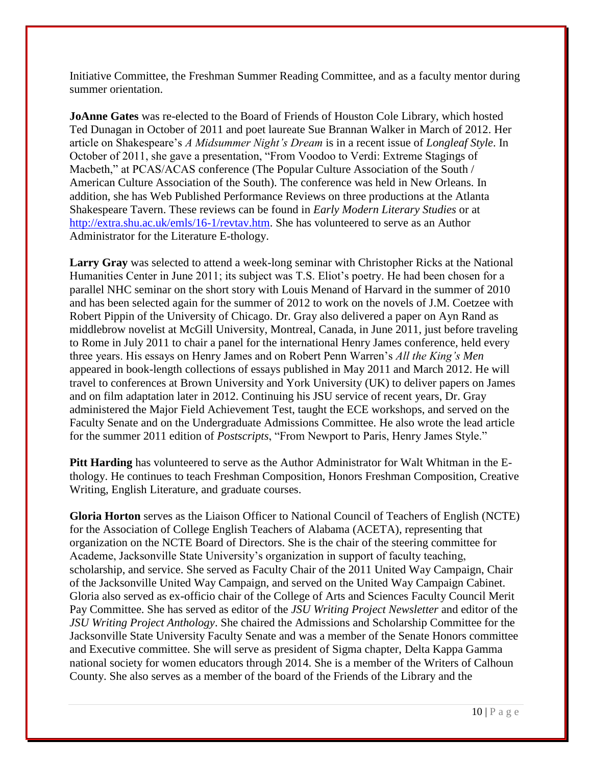Initiative Committee, the Freshman Summer Reading Committee, and as a faculty mentor during summer orientation.

**JoAnne Gates** was re-elected to the Board of Friends of Houston Cole Library, which hosted Ted Dunagan in October of 2011 and poet laureate Sue Brannan Walker in March of 2012. Her article on Shakespeare's *A Midsummer Night's Dream* is in a recent issue of *Longleaf Style*. In October of 2011, she gave a presentation, "From Voodoo to Verdi: Extreme Stagings of Macbeth," at PCAS/ACAS conference (The Popular Culture Association of the South / American Culture Association of the South). The conference was held in New Orleans. In addition, she has Web Published Performance Reviews on three productions at the Atlanta Shakespeare Tavern. These reviews can be found in *Early Modern Literary Studies* or at [http://extra.shu.ac.uk/emls/16-1/revtav.htm.](http://extra.shu.ac.uk/emls/16-1/revtav.htm) She has volunteered to serve as an Author Administrator for the Literature E-thology.

**Larry Gray** was selected to attend a week-long seminar with Christopher Ricks at the National Humanities Center in June 2011; its subject was T.S. Eliot's poetry. He had been chosen for a parallel NHC seminar on the short story with Louis Menand of Harvard in the summer of 2010 and has been selected again for the summer of 2012 to work on the novels of J.M. Coetzee with Robert Pippin of the University of Chicago. Dr. Gray also delivered a paper on Ayn Rand as middlebrow novelist at McGill University, Montreal, Canada, in June 2011, just before traveling to Rome in July 2011 to chair a panel for the international Henry James conference, held every three years. His essays on Henry James and on Robert Penn Warren's *All the King's Men* appeared in book-length collections of essays published in May 2011 and March 2012. He will travel to conferences at Brown University and York University (UK) to deliver papers on James and on film adaptation later in 2012. Continuing his JSU service of recent years, Dr. Gray administered the Major Field Achievement Test, taught the ECE workshops, and served on the Faculty Senate and on the Undergraduate Admissions Committee. He also wrote the lead article for the summer 2011 edition of *Postscripts*, "From Newport to Paris, Henry James Style."

**Pitt Harding** has volunteered to serve as the Author Administrator for Walt Whitman in the Ethology. He continues to teach Freshman Composition, Honors Freshman Composition, Creative Writing, English Literature, and graduate courses.

**Gloria Horton** serves as the Liaison Officer to National Council of Teachers of English (NCTE) for the Association of College English Teachers of Alabama (ACETA), representing that organization on the NCTE Board of Directors. She is the chair of the steering committee for Academe, Jacksonville State University's organization in support of faculty teaching, scholarship, and service. She served as Faculty Chair of the 2011 United Way Campaign, Chair of the Jacksonville United Way Campaign, and served on the United Way Campaign Cabinet. Gloria also served as ex-officio chair of the College of Arts and Sciences Faculty Council Merit Pay Committee. She has served as editor of the *JSU Writing Project Newsletter* and editor of the *JSU Writing Project Anthology*. She chaired the Admissions and Scholarship Committee for the Jacksonville State University Faculty Senate and was a member of the Senate Honors committee and Executive committee. She will serve as president of Sigma chapter, Delta Kappa Gamma national society for women educators through 2014. She is a member of the Writers of Calhoun County. She also serves as a member of the board of the Friends of the Library and the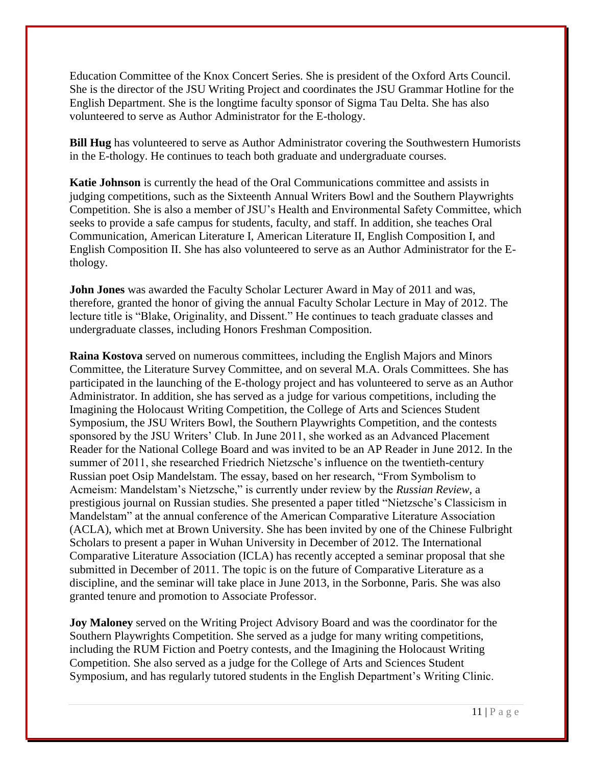Education Committee of the Knox Concert Series. She is president of the Oxford Arts Council. She is the director of the JSU Writing Project and coordinates the JSU Grammar Hotline for the English Department. She is the longtime faculty sponsor of Sigma Tau Delta. She has also volunteered to serve as Author Administrator for the E-thology.

**Bill Hug** has volunteered to serve as Author Administrator covering the Southwestern Humorists in the E-thology. He continues to teach both graduate and undergraduate courses.

**Katie Johnson** is currently the head of the Oral Communications committee and assists in judging competitions, such as the Sixteenth Annual Writers Bowl and the Southern Playwrights Competition. She is also a member of JSU's Health and Environmental Safety Committee, which seeks to provide a safe campus for students, faculty, and staff. In addition, she teaches Oral Communication, American Literature I, American Literature II, English Composition I, and English Composition II. She has also volunteered to serve as an Author Administrator for the Ethology.

**John Jones** was awarded the Faculty Scholar Lecturer Award in May of 2011 and was, therefore, granted the honor of giving the annual Faculty Scholar Lecture in May of 2012. The lecture title is "Blake, Originality, and Dissent." He continues to teach graduate classes and undergraduate classes, including Honors Freshman Composition.

**Raina Kostova** served on numerous committees, including the English Majors and Minors Committee, the Literature Survey Committee, and on several M.A. Orals Committees. She has participated in the launching of the E-thology project and has volunteered to serve as an Author Administrator. In addition, she has served as a judge for various competitions, including the Imagining the Holocaust Writing Competition, the College of Arts and Sciences Student Symposium, the JSU Writers Bowl, the Southern Playwrights Competition, and the contests sponsored by the JSU Writers' Club. In June 2011, she worked as an Advanced Placement Reader for the National College Board and was invited to be an AP Reader in June 2012. In the summer of 2011, she researched Friedrich Nietzsche's influence on the twentieth-century Russian poet Osip Mandelstam. The essay, based on her research, "From Symbolism to Acmeism: Mandelstam's Nietzsche," is currently under review by the *Russian Review*, a prestigious journal on Russian studies. She presented a paper titled "Nietzsche's Classicism in Mandelstam" at the annual conference of the American Comparative Literature Association (ACLA), which met at Brown University. She has been invited by one of the Chinese Fulbright Scholars to present a paper in Wuhan University in December of 2012. The International Comparative Literature Association (ICLA) has recently accepted a seminar proposal that she submitted in December of 2011. The topic is on the future of Comparative Literature as a discipline, and the seminar will take place in June 2013, in the Sorbonne, Paris. She was also granted tenure and promotion to Associate Professor.

**Joy Maloney** served on the Writing Project Advisory Board and was the coordinator for the Southern Playwrights Competition. She served as a judge for many writing competitions, including the RUM Fiction and Poetry contests, and the Imagining the Holocaust Writing Competition. She also served as a judge for the College of Arts and Sciences Student Symposium, and has regularly tutored students in the English Department's Writing Clinic.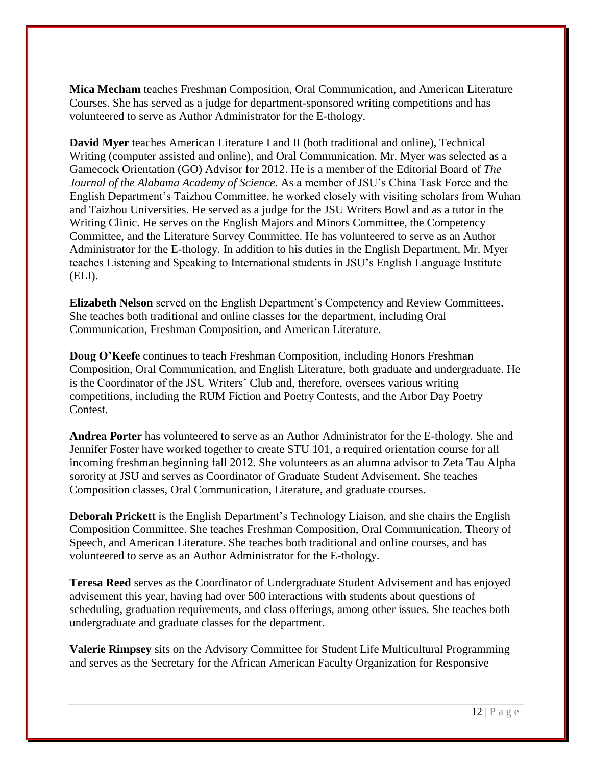**Mica Mecham** teaches Freshman Composition, Oral Communication, and American Literature Courses. She has served as a judge for department-sponsored writing competitions and has volunteered to serve as Author Administrator for the E-thology.

**David Myer** teaches American Literature I and II (both traditional and online), Technical Writing (computer assisted and online), and Oral Communication. Mr. Myer was selected as a Gamecock Orientation (GO) Advisor for 2012. He is a member of the Editorial Board of *The Journal of the Alabama Academy of Science.* As a member of JSU's China Task Force and the English Department's Taizhou Committee, he worked closely with visiting scholars from Wuhan and Taizhou Universities. He served as a judge for the JSU Writers Bowl and as a tutor in the Writing Clinic. He serves on the English Majors and Minors Committee, the Competency Committee, and the Literature Survey Committee. He has volunteered to serve as an Author Administrator for the E-thology. In addition to his duties in the English Department, Mr. Myer teaches Listening and Speaking to International students in JSU's English Language Institute (ELI).

**Elizabeth Nelson** served on the English Department's Competency and Review Committees. She teaches both traditional and online classes for the department, including Oral Communication, Freshman Composition, and American Literature.

**Doug O'Keefe** continues to teach Freshman Composition, including Honors Freshman Composition, Oral Communication, and English Literature, both graduate and undergraduate. He is the Coordinator of the JSU Writers' Club and, therefore, oversees various writing competitions, including the RUM Fiction and Poetry Contests, and the Arbor Day Poetry Contest.

**Andrea Porter** has volunteered to serve as an Author Administrator for the E-thology*.* She and Jennifer Foster have worked together to create STU 101, a required orientation course for all incoming freshman beginning fall 2012. She volunteers as an alumna advisor to Zeta Tau Alpha sorority at JSU and serves as Coordinator of Graduate Student Advisement. She teaches Composition classes, Oral Communication, Literature, and graduate courses.

**Deborah Prickett** is the English Department's Technology Liaison, and she chairs the English Composition Committee. She teaches Freshman Composition, Oral Communication, Theory of Speech, and American Literature. She teaches both traditional and online courses, and has volunteered to serve as an Author Administrator for the E-thology.

**Teresa Reed** serves as the Coordinator of Undergraduate Student Advisement and has enjoyed advisement this year, having had over 500 interactions with students about questions of scheduling, graduation requirements, and class offerings, among other issues. She teaches both undergraduate and graduate classes for the department.

**Valerie Rimpsey** sits on the Advisory Committee for Student Life Multicultural Programming and serves as the Secretary for the African American Faculty Organization for Responsive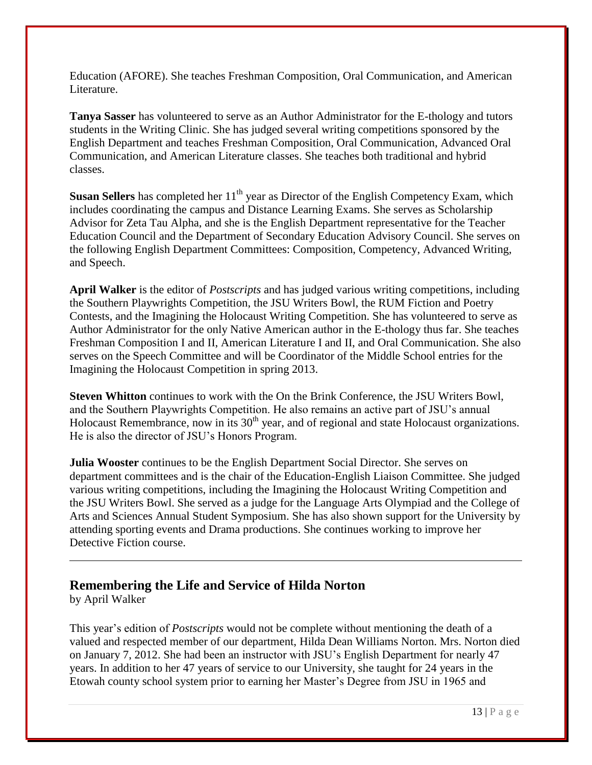Education (AFORE). She teaches Freshman Composition, Oral Communication, and American Literature.

**Tanya Sasser** has volunteered to serve as an Author Administrator for the E-thology and tutors students in the Writing Clinic. She has judged several writing competitions sponsored by the English Department and teaches Freshman Composition, Oral Communication, Advanced Oral Communication, and American Literature classes. She teaches both traditional and hybrid classes.

**Susan Sellers** has completed her 11<sup>th</sup> year as Director of the English Competency Exam, which includes coordinating the campus and Distance Learning Exams. She serves as Scholarship Advisor for Zeta Tau Alpha, and she is the English Department representative for the Teacher Education Council and the Department of Secondary Education Advisory Council. She serves on the following English Department Committees: Composition, Competency, Advanced Writing, and Speech.

**April Walker** is the editor of *Postscripts* and has judged various writing competitions, including the Southern Playwrights Competition, the JSU Writers Bowl, the RUM Fiction and Poetry Contests, and the Imagining the Holocaust Writing Competition. She has volunteered to serve as Author Administrator for the only Native American author in the E-thology thus far. She teaches Freshman Composition I and II, American Literature I and II, and Oral Communication. She also serves on the Speech Committee and will be Coordinator of the Middle School entries for the Imagining the Holocaust Competition in spring 2013.

**Steven Whitton** continues to work with the On the Brink Conference, the JSU Writers Bowl, and the Southern Playwrights Competition. He also remains an active part of JSU's annual Holocaust Remembrance, now in its  $30<sup>th</sup>$  year, and of regional and state Holocaust organizations. He is also the director of JSU's Honors Program.

**Julia Wooster** continues to be the English Department Social Director. She serves on department committees and is the chair of the Education-English Liaison Committee. She judged various writing competitions, including the Imagining the Holocaust Writing Competition and the JSU Writers Bowl. She served as a judge for the Language Arts Olympiad and the College of Arts and Sciences Annual Student Symposium. She has also shown support for the University by attending sporting events and Drama productions. She continues working to improve her Detective Fiction course.

#### **Remembering the Life and Service of Hilda Norton**

by April Walker

This year's edition of *Postscripts* would not be complete without mentioning the death of a valued and respected member of our department, Hilda Dean Williams Norton. Mrs. Norton died on January 7, 2012. She had been an instructor with JSU's English Department for nearly 47 years. In addition to her 47 years of service to our University, she taught for 24 years in the Etowah county school system prior to earning her Master's Degree from JSU in 1965 and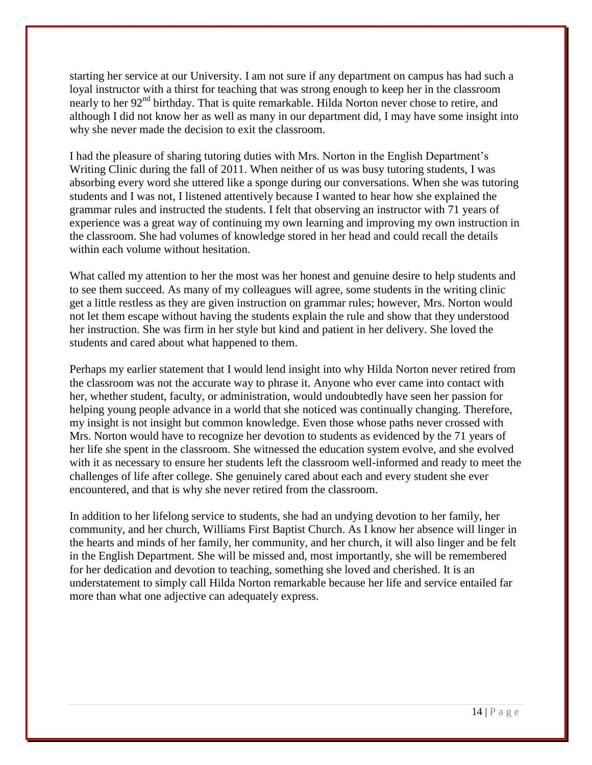starting her service at our University. I am not sure if any department on campus has had such a loyal instructor with a thirst for teaching that was strong enough to keep her in the classroom nearly to her 92<sup>nd</sup> birthday. That is quite remarkable. Hilda Norton never chose to retire, and although I did not know her as well as many in our department did, I may have some insight into why she never made the decision to exit the classroom.

I had the pleasure of sharing tutoring duties with Mrs. Norton in the English Department's Writing Clinic during the fall of 2011. When neither of us was busy tutoring students, I was absorbing every word she uttered like a sponge during our conversations. When she was tutoring students and I was not, I listened attentively because I wanted to hear how she explained the grammar rules and instructed the students. I felt that observing an instructor with 71 years of experience was a great way of continuing my own learning and improving my own instruction in the classroom. She had volumes of knowledge stored in her head and could recall the details within each volume without hesitation.

What called my attention to her the most was her honest and genuine desire to help students and to see them succeed. As many of my colleagues will agree, some students in the writing clinic get a little restless as they are given instruction on grammar rules; however, Mrs. Norton would not let them escape without having the students explain the rule and show that they understood her instruction. She was firm in her style but kind and patient in her delivery. She loved the students and cared about what happened to them.

Perhaps my earlier statement that I would lend insight into why Hilda Norton never retired from the classroom was not the accurate way to phrase it. Anyone who ever came into contact with her, whether student, faculty, or administration, would undoubtedly have seen her passion for helping young people advance in a world that she noticed was continually changing. Therefore, my insight is not insight but common knowledge. Even those whose paths never crossed with Mrs. Norton would have to recognize her devotion to students as evidenced by the 71 years of her life she spent in the classroom. She witnessed the education system evolve, and she evolved with it as necessary to ensure her students left the classroom well-informed and ready to meet the challenges of life after college. She genuinely cared about each and every student she ever encountered, and that is why she never retired from the classroom.

In addition to her lifelong service to students, she had an undying devotion to her family, her community, and her church, Williams First Baptist Church. As I know her absence will linger in the hearts and minds of her family, her community, and her church, it will also linger and be felt in the English Department. She will be missed and, most importantly, she will be remembered for her dedication and devotion to teaching, something she loved and cherished. It is an understatement to simply call Hilda Norton remarkable because her life and service entailed far more than what one adjective can adequately express.